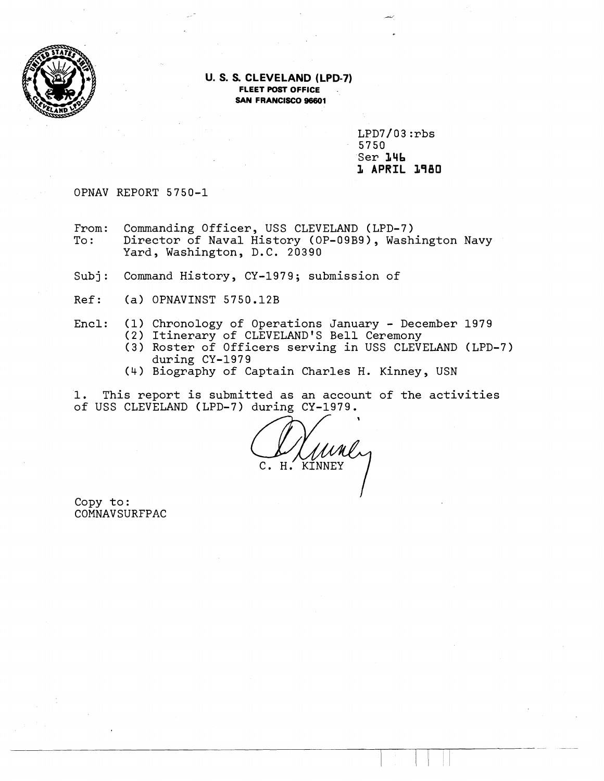

#### **U. S. S. CLEVELAND (LPD-7) FLEET POST OFFICE SAN FRANCISCO 98601**

 $LPD7/03:rbs$ 5750 Ser **L4b 1** APRIL **1980** 

OPNAV REPORT 5750-1

From: Commanding Officer, USS CLEVELAND (LPD-7)<br>To: Director of Naval History (OP-09B9), Wash Director of Naval History (OP-09B9), Washington Navy Yard, Washington, D.C. 20390

Subj: Command History, CY-1979; submission of

Ref: (a) OPNAVINST 5750.12B

- Encl: (1) Chronology of Operations January December 1979
	- (2) Itinerary of CLEVELAND'S Bell Ceremony
	- **(3)** Roster of Officers serving in USS CLEVELAND (LPD-7) during CY-1979
	- (4) Biography of Captain Charles H. Kinney, USN

1. This report is submitted as an account of the activities of USS CLEVELAND (LPD-7) during CY-1979.

 $C. H.$ KINNEY

Copy to: COMNAVSURFPAC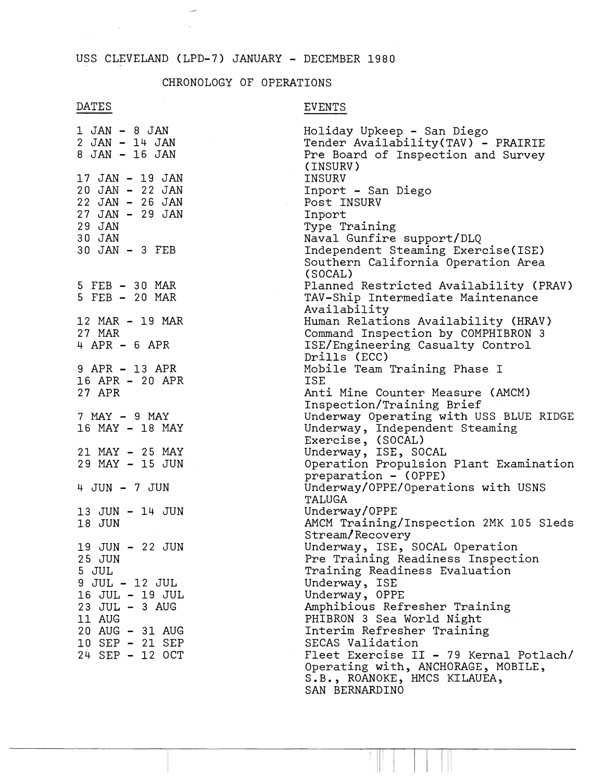$\overline{\phantom{a}}$  $\sim$   $\sim$ 

# CHRONOLOGY OF OPERATIONS

# DATES

 $\sim$ 

# EVENTS

| 1 JAN - 8 JAN<br>2 JAN - 14 JAN<br>8 JAN - 16 JAN                                                                                                                                                     | Holiday Upkeep - San Diego<br>Tender Availability(TAV) - PRAIRIE<br>Pre Board of Inspection and Survey<br>(INSURV)                                                              |
|-------------------------------------------------------------------------------------------------------------------------------------------------------------------------------------------------------|---------------------------------------------------------------------------------------------------------------------------------------------------------------------------------|
| 17 JAN - 19 JAN<br>20 JAN - 22 JAN<br>22 JAN - 26 JAN<br>$\mathcal{L}^{\text{max}}_{\text{max}}$ and $\mathcal{L}^{\text{max}}_{\text{max}}$<br>27 JAN - 29 JAN<br>29 JAN<br>30 JAN<br>30 JAN - 3 FEB | INSURV<br>Inport - San Diego<br>Post INSURV<br>Inport<br>Type Training<br>Naval Gunfire support/DLQ<br>Independent Steaming Exercise(ISE)<br>Southern California Operation Area |
| 5 FEB - 30 MAR<br>5 FEB - 20 MAR                                                                                                                                                                      | (SOCAL)<br>Planned Restricted Availability (PRAV)<br>TAV-Ship Intermediate Maintenance<br>Availability                                                                          |
| 12 MAR - 19 MAR<br>27 MAR<br>$4$ APR - 6 APR                                                                                                                                                          | Human Relations Availability (HRAV)<br>Command Inspection by COMPHIBRON 3<br>ISE/Engineering Casualty Control<br>Drills (ECC)                                                   |
| 9 APR - 13 APR<br>16 APR - 20 APR<br>27 APR                                                                                                                                                           | Mobile Team Training Phase I<br>ISE<br>Anti Mine Counter Measure (AMCM)<br>Inspection/Training Brief                                                                            |
| 7 MAY - 9 MAY<br>16 MAY - 18 MAY                                                                                                                                                                      | Underway Operating with USS BLUE RIDGE<br>Underway, Independent Steaming<br>Exercise, (SOCAL)                                                                                   |
| 21 MAY - 25 MAY<br>29 MAY - 15 JUN                                                                                                                                                                    | Underway, ISE, SOCAL<br>Operation Propulsion Plant Examination<br>preparation - (OPPE)                                                                                          |
| 4 JUN - 7 JUN<br>13 JUN - 14 JUN                                                                                                                                                                      | Underway/OPPE/Operations with USNS<br>TALUGA<br>Underway/OPPE                                                                                                                   |
| 18 JUN                                                                                                                                                                                                | AMCM Training/Inspection 2MK 105 Sleds<br>Stream/Recovery                                                                                                                       |
| 19 JUN - 22 JUN<br>25 JUN<br>5 JUL                                                                                                                                                                    | Underway, ISE, SOCAL Operation<br>Pre Training Readiness Inspection<br>Training Readiness Evaluation                                                                            |
| 9 JUL - 12 JUL<br>16 JUL - 19 JUL<br>23 JUL - 3 AUG                                                                                                                                                   | Underway, ISE<br>Underway, OPPE<br>Amphibious Refresher Training                                                                                                                |
| 11 AUG<br>20 AUG - 31 AUG<br>10 SEP - 21 SEP<br>24 SEP - 12 OCT                                                                                                                                       | PHIBRON 3 Sea World Night<br>Interim Refresher Training<br>SECAS Validation<br>Fleet Exercise II - 79 Kernal Potlach/<br>Operating with, ANCHORAGE, MOBILE,                     |
|                                                                                                                                                                                                       | S.B., ROANOKE, HMCS KILAUEA,<br>SAN BERNARDINO                                                                                                                                  |